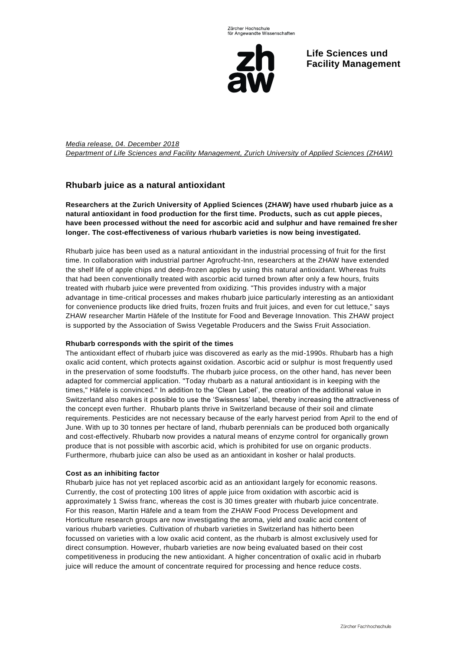

**Life Sciences und Facility Management**

*Media release, 04. December 2018 Department of Life Sciences and Facility Management, Zurich University of Applied Sciences (ZHAW)*

# **Rhubarb juice as a natural antioxidant**

**Researchers at the Zurich University of Applied Sciences (ZHAW) have used rhubarb juice as a natural antioxidant in food production for the first time. Products, such as cut apple pieces, have been processed without the need for ascorbic acid and sulphur and have remained fresher longer. The cost-effectiveness of various rhubarb varieties is now being investigated.**

Rhubarb juice has been used as a natural antioxidant in the industrial processing of fruit for the first time. In collaboration with industrial partner Agrofrucht-Inn, researchers at the ZHAW have extended the shelf life of apple chips and deep-frozen apples by using this natural antioxidant. Whereas fruits that had been conventionally treated with ascorbic acid turned brown after only a few hours, fruits treated with rhubarb juice were prevented from oxidizing. "This provides industry with a major advantage in time-critical processes and makes rhubarb juice particularly interesting as an antioxidant for convenience products like dried fruits, frozen fruits and fruit juices, and even for cut lettuce," says ZHAW researcher Martin Häfele of the Institute for Food and Beverage Innovation. This ZHAW project is supported by the Association of Swiss Vegetable Producers and the Swiss Fruit Association.

## **Rhubarb corresponds with the spirit of the times**

The antioxidant effect of rhubarb juice was discovered as early as the mid-1990s. Rhubarb has a high oxalic acid content, which protects against oxidation. Ascorbic acid or sulphur is most frequently used in the preservation of some foodstuffs. The rhubarb juice process, on the other hand, has never been adapted for commercial application. "Today rhubarb as a natural antioxidant is in keeping with the times," Häfele is convinced." In addition to the 'Clean Label', the creation of the additional value in Switzerland also makes it possible to use the 'Swissness' label, thereby increasing the attractiveness of the concept even further. Rhubarb plants thrive in Switzerland because of their soil and climate requirements. Pesticides are not necessary because of the early harvest period from April to the end of June. With up to 30 tonnes per hectare of land, rhubarb perennials can be produced both organically and cost-effectively. Rhubarb now provides a natural means of enzyme control for organically grown produce that is not possible with ascorbic acid, which is prohibited for use on organic products. Furthermore, rhubarb juice can also be used as an antioxidant in kosher or halal products.

## **Cost as an inhibiting factor**

Rhubarb juice has not yet replaced ascorbic acid as an antioxidant largely for economic reasons. Currently, the cost of protecting 100 litres of apple juice from oxidation with ascorbic acid is approximately 1 Swiss franc, whereas the cost is 30 times greater with rhubarb juice concentrate. For this reason, Martin Häfele and a team from the ZHAW Food Process Development and Horticulture research groups are now investigating the aroma, yield and oxalic acid content of various rhubarb varieties. Cultivation of rhubarb varieties in Switzerland has hitherto been focussed on varieties with a low oxalic acid content, as the rhubarb is almost exclusively used for direct consumption. However, rhubarb varieties are now being evaluated based on their cost competitiveness in producing the new antioxidant. A higher concentration of oxalic acid in rhubarb juice will reduce the amount of concentrate required for processing and hence reduce costs.